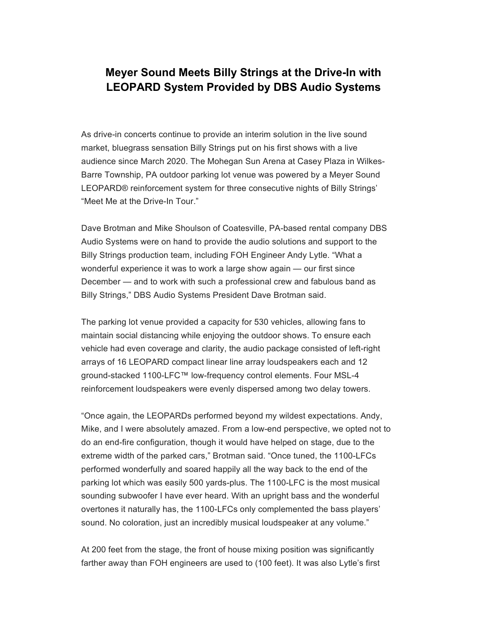## **Meyer Sound Meets Billy Strings at the Drive-In with LEOPARD System Provided by DBS Audio Systems**

As drive-in concerts continue to provide an interim solution in the live sound market, bluegrass sensation Billy Strings put on his first shows with a live audience since March 2020. The Mohegan Sun Arena at Casey Plaza in Wilkes-Barre Township, PA outdoor parking lot venue was powered by a Meyer Sound LEOPARD® reinforcement system for three consecutive nights of Billy Strings' "Meet Me at the Drive-In Tour."

Dave Brotman and Mike Shoulson of Coatesville, PA-based rental company DBS Audio Systems were on hand to provide the audio solutions and support to the Billy Strings production team, including FOH Engineer Andy Lytle. "What a wonderful experience it was to work a large show again — our first since December — and to work with such a professional crew and fabulous band as Billy Strings," DBS Audio Systems President Dave Brotman said.

The parking lot venue provided a capacity for 530 vehicles, allowing fans to maintain social distancing while enjoying the outdoor shows. To ensure each vehicle had even coverage and clarity, the audio package consisted of left-right arrays of 16 LEOPARD compact linear line array loudspeakers each and 12 ground-stacked 1100-LFC™ low-frequency control elements. Four MSL-4 reinforcement loudspeakers were evenly dispersed among two delay towers.

"Once again, the LEOPARDs performed beyond my wildest expectations. Andy, Mike, and I were absolutely amazed. From a low-end perspective, we opted not to do an end-fire configuration, though it would have helped on stage, due to the extreme width of the parked cars," Brotman said. "Once tuned, the 1100-LFCs performed wonderfully and soared happily all the way back to the end of the parking lot which was easily 500 yards-plus. The 1100-LFC is the most musical sounding subwoofer I have ever heard. With an upright bass and the wonderful overtones it naturally has, the 1100-LFCs only complemented the bass players' sound. No coloration, just an incredibly musical loudspeaker at any volume."

At 200 feet from the stage, the front of house mixing position was significantly farther away than FOH engineers are used to (100 feet). It was also Lytle's first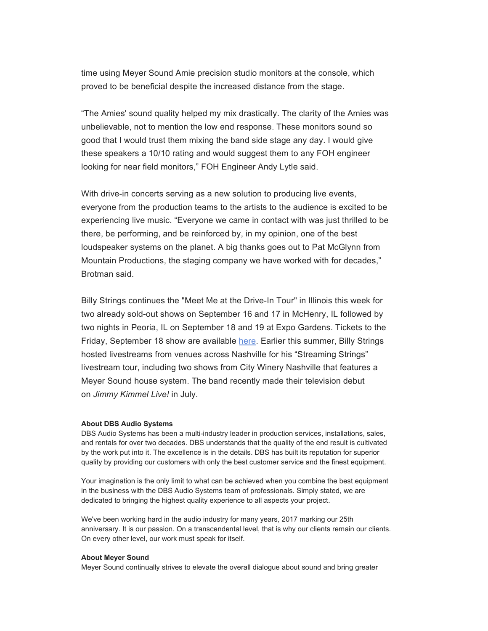time using Meyer Sound Amie precision studio monitors at the console, which proved to be beneficial despite the increased distance from the stage.

"The Amies' sound quality helped my mix drastically. The clarity of the Amies was unbelievable, not to mention the low end response. These monitors sound so good that I would trust them mixing the band side stage any day. I would give these speakers a 10/10 rating and would suggest them to any FOH engineer looking for near field monitors," FOH Engineer Andy Lytle said.

With drive-in concerts serving as a new solution to producing live events, everyone from the production teams to the artists to the audience is excited to be experiencing live music. "Everyone we came in contact with was just thrilled to be there, be performing, and be reinforced by, in my opinion, one of the best loudspeaker systems on the planet. A big thanks goes out to Pat McGlynn from Mountain Productions, the staging company we have worked with for decades," Brotman said.

Billy Strings continues the "Meet Me at the Drive-In Tour" in Illinois this week for two already sold-out shows on September 16 and 17 in McHenry, IL followed by two nights in Peoria, IL on September 18 and 19 at Expo Gardens. Tickets to the Friday, September 18 show are available [here.](https://cl.s7.exct.net/?qs=134a0e81c0f259ed08adce5f62d6a6823d7e35a029af93ee9c65710615a82e3a811b6110744d2e6c971c0550e5f5e1fc) Earlier this summer, Billy Strings hosted livestreams from venues across Nashville for his "Streaming Strings" livestream tour, including two shows from City Winery Nashville that features a Meyer Sound house system. The band recently made their television debut on *Jimmy Kimmel Live!* in July.

## **About DBS Audio Systems**

DBS Audio Systems has been a multi-industry leader in production services, installations, sales, and rentals for over two decades. DBS understands that the quality of the end result is cultivated by the work put into it. The excellence is in the details. DBS has built its reputation for superior quality by providing our customers with only the best customer service and the finest equipment.

Your imagination is the only limit to what can be achieved when you combine the best equipment in the business with the DBS Audio Systems team of professionals. Simply stated, we are dedicated to bringing the highest quality experience to all aspects your project.

We've been working hard in the audio industry for many years, 2017 marking our 25th anniversary. It is our passion. On a transcendental level, that is why our clients remain our clients. On every other level, our work must speak for itself.

## **About Meyer Sound**

Meyer Sound continually strives to elevate the overall dialogue about sound and bring greater